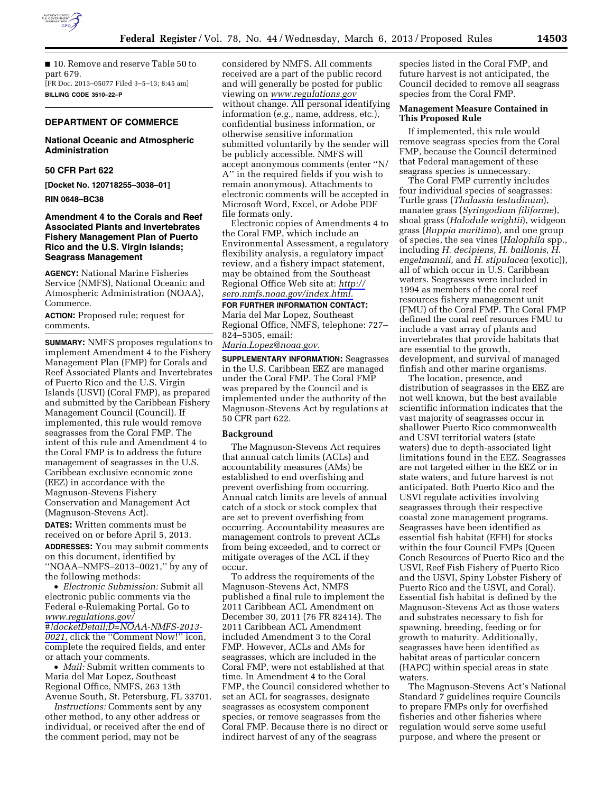

■ 10. Remove and reserve Table 50 to part 679. [FR Doc. 2013–05077 Filed 3–5–13; 8:45 am] **BILLING CODE 3510–22–P** 

# **DEPARTMENT OF COMMERCE**

# **National Oceanic and Atmospheric Administration**

# **50 CFR Part 622**

**[Docket No. 120718255–3038–01]** 

**RIN 0648–BC38** 

# **Amendment 4 to the Corals and Reef Associated Plants and Invertebrates Fishery Management Plan of Puerto Rico and the U.S. Virgin Islands; Seagrass Management**

**AGENCY:** National Marine Fisheries Service (NMFS), National Oceanic and Atmospheric Administration (NOAA), Commerce.

**ACTION:** Proposed rule; request for comments.

**SUMMARY:** NMFS proposes regulations to implement Amendment 4 to the Fishery Management Plan (FMP) for Corals and Reef Associated Plants and Invertebrates of Puerto Rico and the U.S. Virgin Islands (USVI) (Coral FMP), as prepared and submitted by the Caribbean Fishery Management Council (Council). If implemented, this rule would remove seagrasses from the Coral FMP. The intent of this rule and Amendment 4 to the Coral FMP is to address the future management of seagrasses in the U.S. Caribbean exclusive economic zone (EEZ) in accordance with the Magnuson-Stevens Fishery Conservation and Management Act (Magnuson-Stevens Act).

**DATES:** Written comments must be received on or before April 5, 2013.

**ADDRESSES:** You may submit comments on this document, identified by ''NOAA–NMFS–2013–0021,'' by any of the following methods:

• *Electronic Submission:* Submit all electronic public comments via the Federal e-Rulemaking Portal. Go to *[www.regulations.gov/](http://www.regulations.gov/#!docketDetail;D=NOAA-NMFS-2013-0021) [#!docketDetail;D=NOAA-NMFS-2013-](http://www.regulations.gov/#!docketDetail;D=NOAA-NMFS-2013-0021) [0021,](http://www.regulations.gov/#!docketDetail;D=NOAA-NMFS-2013-0021)* click the ''Comment Now!'' icon, complete the required fields, and enter or attach your comments.

• *Mail:* Submit written comments to Maria del Mar Lopez, Southeast Regional Office, NMFS, 263 13th Avenue South, St. Petersburg, FL 33701.

*Instructions:* Comments sent by any other method, to any other address or individual, or received after the end of the comment period, may not be

considered by NMFS. All comments received are a part of the public record and will generally be posted for public viewing on *[www.regulations.gov](http://www.regulations.gov)*  without change. All personal identifying information (*e.g.,* name, address, etc.), confidential business information, or otherwise sensitive information submitted voluntarily by the sender will be publicly accessible. NMFS will accept anonymous comments (enter ''N/ A'' in the required fields if you wish to remain anonymous). Attachments to electronic comments will be accepted in Microsoft Word, Excel, or Adobe PDF file formats only.

Electronic copies of Amendments 4 to the Coral FMP, which include an Environmental Assessment, a regulatory flexibility analysis, a regulatory impact review, and a fishery impact statement, may be obtained from the Southeast Regional Office Web site at: *[http://](http://sero.nmfs.noaa.gov/index.html)  [sero.nmfs.noaa.gov/index.html.](http://sero.nmfs.noaa.gov/index.html)* 

# **FOR FURTHER INFORMATION CONTACT:**

Maria del Mar Lopez, Southeast Regional Office, NMFS, telephone: 727– 824–5305, email:

*[Maria.Lopez@noaa.gov](mailto:Maria.Lopez@noaa.gov)*.

**SUPPLEMENTARY INFORMATION:** Seagrasses in the U.S. Caribbean EEZ are managed under the Coral FMP. The Coral FMP was prepared by the Council and is implemented under the authority of the Magnuson-Stevens Act by regulations at 50 CFR part 622.

#### **Background**

The Magnuson-Stevens Act requires that annual catch limits (ACLs) and accountability measures (AMs) be established to end overfishing and prevent overfishing from occurring. Annual catch limits are levels of annual catch of a stock or stock complex that are set to prevent overfishing from occurring. Accountability measures are management controls to prevent ACLs from being exceeded, and to correct or mitigate overages of the ACL if they occur.

To address the requirements of the Magnuson-Stevens Act, NMFS published a final rule to implement the 2011 Caribbean ACL Amendment on December 30, 2011 (76 FR 82414). The 2011 Caribbean ACL Amendment included Amendment 3 to the Coral FMP. However, ACLs and AMs for seagrasses, which are included in the Coral FMP, were not established at that time. In Amendment 4 to the Coral FMP, the Council considered whether to set an ACL for seagrasses, designate seagrasses as ecosystem component species, or remove seagrasses from the Coral FMP. Because there is no direct or indirect harvest of any of the seagrass

species listed in the Coral FMP, and future harvest is not anticipated, the Council decided to remove all seagrass species from the Coral FMP.

### **Management Measure Contained in This Proposed Rule**

If implemented, this rule would remove seagrass species from the Coral FMP, because the Council determined that Federal management of these seagrass species is unnecessary.

The Coral FMP currently includes four individual species of seagrasses: Turtle grass (*Thalassia testudinum*), manatee grass (*Syringodium filiforme*), shoal grass (*Halodule wrightii*), widgeon grass (*Ruppia maritima*), and one group of species, the sea vines (*Halophila* spp., including *H. decipiens, H. baillonis, H. engelmannii,* and *H. stipulacea* (exotic)), all of which occur in U.S. Caribbean waters. Seagrasses were included in 1994 as members of the coral reef resources fishery management unit (FMU) of the Coral FMP. The Coral FMP defined the coral reef resources FMU to include a vast array of plants and invertebrates that provide habitats that are essential to the growth, development, and survival of managed finfish and other marine organisms.

The location, presence, and distribution of seagrasses in the EEZ are not well known, but the best available scientific information indicates that the vast majority of seagrasses occur in shallower Puerto Rico commonwealth and USVI territorial waters (state waters) due to depth-associated light limitations found in the EEZ. Seagrasses are not targeted either in the EEZ or in state waters, and future harvest is not anticipated. Both Puerto Rico and the USVI regulate activities involving seagrasses through their respective coastal zone management programs. Seagrasses have been identified as essential fish habitat (EFH) for stocks within the four Council FMPs (Queen Conch Resources of Puerto Rico and the USVI, Reef Fish Fishery of Puerto Rico and the USVI, Spiny Lobster Fishery of Puerto Rico and the USVI, and Coral). Essential fish habitat is defined by the Magnuson-Stevens Act as those waters and substrates necessary to fish for spawning, breeding, feeding or for growth to maturity. Additionally, seagrasses have been identified as habitat areas of particular concern (HAPC) within special areas in state waters.

The Magnuson-Stevens Act's National Standard 7 guidelines require Councils to prepare FMPs only for overfished fisheries and other fisheries where regulation would serve some useful purpose, and where the present or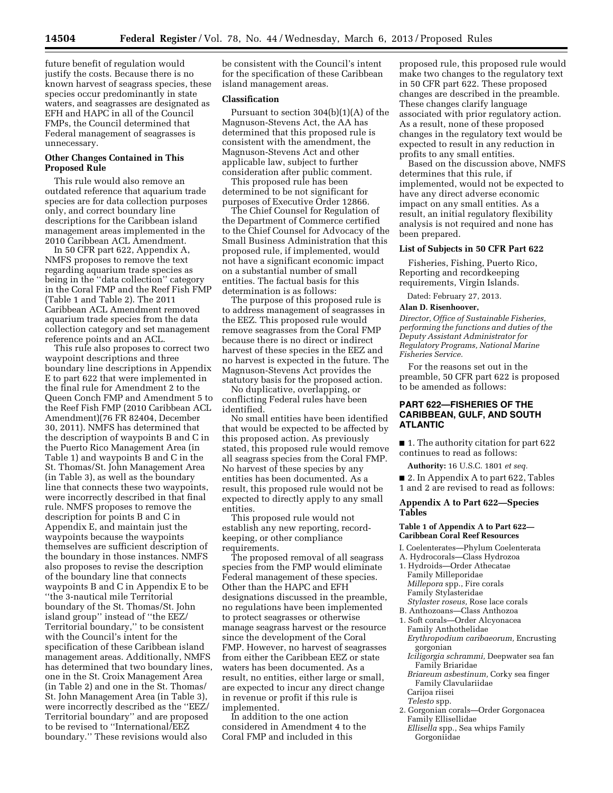future benefit of regulation would justify the costs. Because there is no known harvest of seagrass species, these species occur predominantly in state waters, and seagrasses are designated as EFH and HAPC in all of the Council FMPs, the Council determined that Federal management of seagrasses is unnecessary.

# **Other Changes Contained in This Proposed Rule**

This rule would also remove an outdated reference that aquarium trade species are for data collection purposes only, and correct boundary line descriptions for the Caribbean island management areas implemented in the 2010 Caribbean ACL Amendment.

In 50 CFR part 622, Appendix A, NMFS proposes to remove the text regarding aquarium trade species as being in the ''data collection'' category in the Coral FMP and the Reef Fish FMP (Table 1 and Table 2). The 2011 Caribbean ACL Amendment removed aquarium trade species from the data collection category and set management reference points and an ACL.

This rule also proposes to correct two waypoint descriptions and three boundary line descriptions in Appendix E to part 622 that were implemented in the final rule for Amendment 2 to the Queen Conch FMP and Amendment 5 to the Reef Fish FMP (2010 Caribbean ACL Amendment)(76 FR 82404, December 30, 2011). NMFS has determined that the description of waypoints B and C in the Puerto Rico Management Area (in Table 1) and waypoints B and C in the St. Thomas/St. John Management Area (in Table 3), as well as the boundary line that connects these two waypoints, were incorrectly described in that final rule. NMFS proposes to remove the description for points B and C in Appendix E, and maintain just the waypoints because the waypoints themselves are sufficient description of the boundary in those instances. NMFS also proposes to revise the description of the boundary line that connects waypoints B and C in Appendix E to be ''the 3-nautical mile Territorial boundary of the St. Thomas/St. John island group'' instead of ''the EEZ/ Territorial boundary,'' to be consistent with the Council's intent for the specification of these Caribbean island management areas. Additionally, NMFS has determined that two boundary lines, one in the St. Croix Management Area (in Table 2) and one in the St. Thomas/ St. John Management Area (in Table 3), were incorrectly described as the ''EEZ/ Territorial boundary'' and are proposed to be revised to ''International/EEZ boundary.'' These revisions would also

be consistent with the Council's intent for the specification of these Caribbean island management areas.

#### **Classification**

Pursuant to section 304(b)(1)(A) of the Magnuson-Stevens Act, the AA has determined that this proposed rule is consistent with the amendment, the Magnuson-Stevens Act and other applicable law, subject to further consideration after public comment.

This proposed rule has been determined to be not significant for purposes of Executive Order 12866.

The Chief Counsel for Regulation of the Department of Commerce certified to the Chief Counsel for Advocacy of the Small Business Administration that this proposed rule, if implemented, would not have a significant economic impact on a substantial number of small entities. The factual basis for this determination is as follows:

The purpose of this proposed rule is to address management of seagrasses in the EEZ. This proposed rule would remove seagrasses from the Coral FMP because there is no direct or indirect harvest of these species in the EEZ and no harvest is expected in the future. The Magnuson-Stevens Act provides the statutory basis for the proposed action.

No duplicative, overlapping, or conflicting Federal rules have been identified.

No small entities have been identified that would be expected to be affected by this proposed action. As previously stated, this proposed rule would remove all seagrass species from the Coral FMP. No harvest of these species by any entities has been documented. As a result, this proposed rule would not be expected to directly apply to any small entities.

This proposed rule would not establish any new reporting, recordkeeping, or other compliance requirements.

The proposed removal of all seagrass species from the FMP would eliminate Federal management of these species. Other than the HAPC and EFH designations discussed in the preamble, no regulations have been implemented to protect seagrasses or otherwise manage seagrass harvest or the resource since the development of the Coral FMP. However, no harvest of seagrasses from either the Caribbean EEZ or state waters has been documented. As a result, no entities, either large or small, are expected to incur any direct change in revenue or profit if this rule is implemented.

In addition to the one action considered in Amendment 4 to the Coral FMP and included in this

proposed rule, this proposed rule would make two changes to the regulatory text in 50 CFR part 622. These proposed changes are described in the preamble. These changes clarify language associated with prior regulatory action. As a result, none of these proposed changes in the regulatory text would be expected to result in any reduction in profits to any small entities.

Based on the discussion above, NMFS determines that this rule, if implemented, would not be expected to have any direct adverse economic impact on any small entities. As a result, an initial regulatory flexibility analysis is not required and none has been prepared.

#### **List of Subjects in 50 CFR Part 622**

Fisheries, Fishing, Puerto Rico, Reporting and recordkeeping requirements, Virgin Islands.

Dated: February 27, 2013.

#### **Alan D. Risenhoover,**

*Director, Office of Sustainable Fisheries, performing the functions and duties of the Deputy Assistant Administrator for Regulatory Programs, National Marine Fisheries Service.* 

For the reasons set out in the preamble, 50 CFR part 622 is proposed to be amended as follows:

# **PART 622—FISHERIES OF THE CARIBBEAN, GULF, AND SOUTH ATLANTIC**

■ 1. The authority citation for part 622 continues to read as follows:

**Authority:** 16 U.S.C. 1801 *et seq.* 

■ 2. In Appendix A to part 622, Tables 1 and 2 are revised to read as follows:

# **Appendix A to Part 622—Species Tables**

# **Table 1 of Appendix A to Part 622— Caribbean Coral Reef Resources**

- I. Coelenterates—Phylum Coelenterata
- A. Hydrocorals—Class Hydrozoa 1. Hydroids—Order Athecatae Family Milleporidae *Millepora* spp., Fire corals Family Stylasteridae
- *Stylaster roseus,* Rose lace corals
- B. Anthozoans—Class Anthozoa
- 1. Soft corals—Order Alcyonacea Family Anthothelidae
- *Erythropodium caribaeorum,* Encrusting gorgonian
- *Iciligorgia schrammi,* Deepwater sea fan Family Briaridae
- *Briareum asbestinum,* Corky sea finger Family Clavulariidae
- Carijoa riisei *Telesto* spp.
- 2. Gorgonian corals—Order Gorgonacea Family Ellisellidae
	- *Ellisella* spp., Sea whips Family Gorgoniidae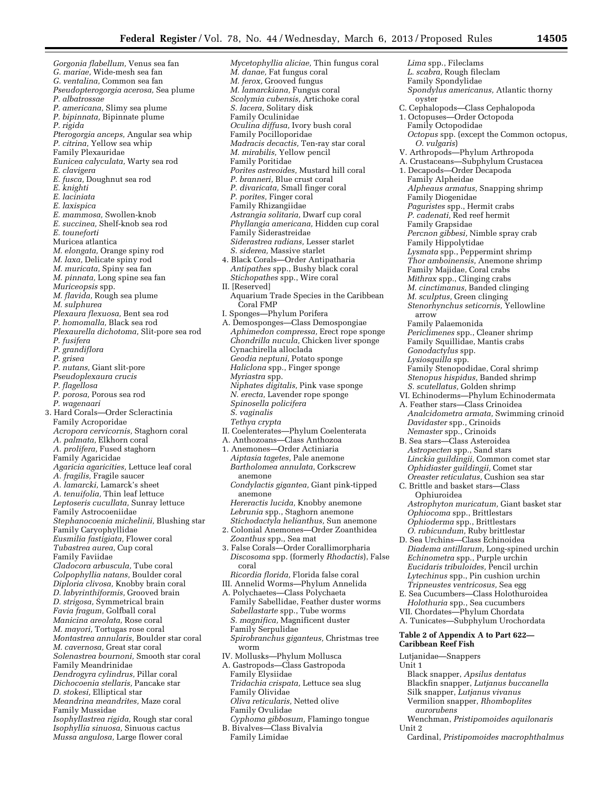*Gorgonia flabellum,* Venus sea fan *G. mariae,* Wide-mesh sea fan *G. ventalina,* Common sea fan *Pseudopterogorgia acerosa,* Sea plume *P. albatrossae P. americana,* Slimy sea plume *P. bipinnata,* Bipinnate plume *P. rigida Pterogorgia anceps,* Angular sea whip *P. citrina,* Yellow sea whip Family Plexauridae *Eunicea calyculata,* Warty sea rod *E. clavigera E. fusca,* Doughnut sea rod *E. knighti E. laciniata E. laxispica E. mammosa,* Swollen-knob *E. succinea,* Shelf-knob sea rod *E. touneforti*  Muricea atlantica *M. elongata,* Orange spiny rod *M. laxa,* Delicate spiny rod *M. muricata,* Spiny sea fan *M. pinnata,* Long spine sea fan *Muriceopsis* spp. *M. flavida,* Rough sea plume *M. sulphurea Plexaura flexuosa,* Bent sea rod *P. homomalla,* Black sea rod *Plexaurella dichotoma,* Slit-pore sea rod *P. fusifera P. grandiflora P. grisea P. nutans,* Giant slit-pore *Pseudoplexaura crucis P. flagellosa P. porosa,* Porous sea rod *P. wagenaari*  3. Hard Corals—Order Scleractinia Family Acroporidae *Acropora cervicornis,* Staghorn coral *A. palmata,* Elkhorn coral *A. prolifera,* Fused staghorn Family Agaricidae *Agaricia agaricities,* Lettuce leaf coral *A. fragilis,* Fragile saucer *A. lamarcki,* Lamarck's sheet *A. tenuifolia,* Thin leaf lettuce *Leptoseris cucullata,* Sunray lettuce Family Astrocoeniidae *Stephanocoenia michelinii,* Blushing star Family Caryophyllidae *Eusmilia fastigiata,* Flower coral *Tubastrea aurea,* Cup coral Family Faviidae *Cladocora arbuscula,* Tube coral *Colpophyllia natans,* Boulder coral *Diploria clivosa,* Knobby brain coral *D. labyrinthiformis,* Grooved brain *D. strigosa,* Symmetrical brain *Favia fragum,* Golfball coral *Manicina areolata,* Rose coral *M. mayori,* Tortugas rose coral *Montastrea annularis,* Boulder star coral *M. cavernosa,* Great star coral *Solenastrea bournoni,* Smooth star coral Family Meandrinidae *Dendrogyra cylindrus,* Pillar coral *Dichocoenia stellaris,* Pancake star *D. stokesi,* Elliptical star *Meandrina meandrites,* Maze coral Family Mussidae *Isophyllastrea rigida,* Rough star coral *Isophyllia sinuosa,* Sinuous cactus *Mussa angulosa,* Large flower coral

*Mycetophyllia aliciae,* Thin fungus coral *M. danae,* Fat fungus coral *M. ferox,* Grooved fungus *M. lamarckiana,* Fungus coral *Scolymia cubensis,* Artichoke coral *S. lacera,* Solitary disk Family Oculinidae *Oculina diffusa,* Ivory bush coral Family Pocilloporidae *Madracis decactis,* Ten-ray star coral *M. mirabilis,* Yellow pencil Family Poritidae *Porites astreoides,* Mustard hill coral *P. branneri,* Blue crust coral *P. divaricata,* Small finger coral *P. porites,* Finger coral Family Rhizangiidae *Astrangia solitaria,* Dwarf cup coral *Phyllangia americana,* Hidden cup coral Family Siderastreidae *Siderastrea radians,* Lesser starlet *S. siderea,* Massive starlet 4. Black Corals—Order Antipatharia *Antipathes* spp., Bushy black coral *Stichopathes* spp., Wire coral II. [Reserved] Aquarium Trade Species in the Caribbean Coral FMP I. Sponges—Phylum Porifera A. Demosponges—Class Demospongiae *Aphimedon compressa,* Erect rope sponge *Chondrilla nucula,* Chicken liver sponge Cynachirella alloclada *Geodia neptuni,* Potato sponge *Haliclona* spp., Finger sponge *Myriastra* spp. *Niphates digitalis,* Pink vase sponge *N. erecta,* Lavender rope sponge *Spinosella policifera S. vaginalis Tethya crypta*  II. Coelenterates—Phylum Coelenterata A. Anthozoans—Class Anthozoa 1. Anemones—Order Actiniaria *Aiptasia tagetes,* Pale anemone *Bartholomea annulata,* Corkscrew anemone *Condylactis gigantea,* Giant pink-tipped anemone *Hereractis lucida,* Knobby anemone *Lebrunia* spp., Staghorn anemone *Stichodactyla helianthus,* Sun anemone 2. Colonial Anemones—Order Zoanthidea *Zoanthus* spp., Sea mat 3. False Corals—Order Corallimorpharia *Discosoma* spp. (formerly *Rhodactis*), False coral *Ricordia florida,* Florida false coral III. Annelid Worms—Phylum Annelida A. Polychaetes—Class Polychaeta Family Sabellidae, Feather duster worms *Sabellastarte* spp., Tube worms *S. magnifica,* Magnificent duster Family Serpulidae *Spirobranchus giganteus,* Christmas tree worm IV. Mollusks—Phylum Mollusca A. Gastropods—Class Gastropoda Family Elysiidae *Tridachia crispata,* Lettuce sea slug Family Olividae *Oliva reticularis,* Netted olive Family Ovulidae *Cyphoma gibbosum,* Flamingo tongue B. Bivalves—Class Bivalvia Family Limidae *Lima* spp., Fileclams

*L. scabra,* Rough fileclam Family Spondylidae *Spondylus americanus,* Atlantic thorny oyster C. Cephalopods—Class Cephalopoda 1. Octopuses—Order Octopoda Family Octopodidae *Octopus* spp. (except the Common octopus, *O. vulgaris*) V. Arthropods—Phylum Arthropoda A. Crustaceans—Subphylum Crustacea 1. Decapods—Order Decapoda Family Alpheidae *Alpheaus armatus,* Snapping shrimp Family Diogenidae *Paguristes* spp., Hermit crabs *P. cadenati,* Red reef hermit Family Grapsidae *Percnon gibbesi,* Nimble spray crab Family Hippolytidae *Lysmata* spp., Peppermint shrimp *Thor amboinensis,* Anemone shrimp Family Majidae, Coral crabs *Mithrax* spp., Clinging crabs *M. cinctimanus,* Banded clinging *M. sculptus,* Green clinging *Stenorhynchus seticornis,* Yellowline arrow Family Palaemonida *Periclimenes* spp., Cleaner shrimp Family Squillidae, Mantis crabs *Gonodactylus* spp. *Lysiosquilla* spp. Family Stenopodidae, Coral shrimp *Stenopus hispidus,* Banded shrimp *S. scutellatus,* Golden shrimp VI. Echinoderms—Phylum Echinodermata A. Feather stars—Class Crinoidea *Analcidometra armata,* Swimming crinoid *Davidaster* spp., Crinoids *Nemaster* spp., Crinoids B. Sea stars—Class Asteroidea *Astropecten* spp., Sand stars *Linckia guildingii,* Common comet star *Ophidiaster guildingii,* Comet star *Oreaster reticulatus,* Cushion sea star C. Brittle and basket stars—Class Ophiuroidea *Astrophyton muricatum,* Giant basket star *Ophiocoma* spp., Brittlestars *Ophioderma* spp., Brittlestars *O. rubicundum,* Ruby brittlestar D. Sea Urchins—Class Echinoidea *Diadema antillarum,* Long-spined urchin *Echinometra* spp., Purple urchin *Eucidaris tribuloides,* Pencil urchin *Lytechinus* spp., Pin cushion urchin *Tripneustes ventricosus,* Sea egg E. Sea Cucumbers—Class Holothuroidea *Holothuria* spp., Sea cucumbers VII. Chordates—Phylum Chordata A. Tunicates—Subphylum Urochordata **Table 2 of Appendix A to Part 622— Caribbean Reef Fish**  Lutjanidae—Snappers Unit 1 Black snapper, *Apsilus dentatus* 

- Blackfin snapper, *Lutjanus buccanella*  Silk snapper, *Lutjanus vivanus*  Vermilion snapper, *Rhomboplites aurorubens*
- Wenchman, *Pristipomoides aquilonaris*  Unit 2
- Cardinal, *Pristipomoides macrophthalmus*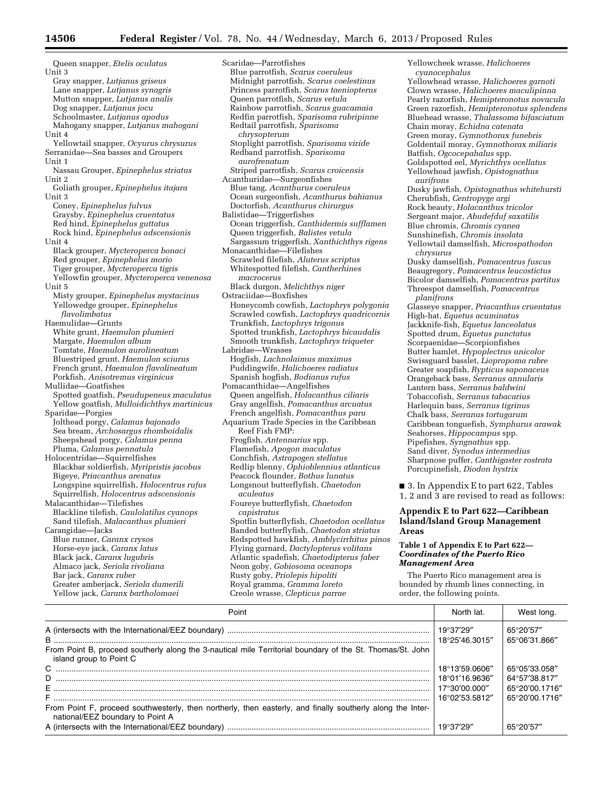Queen snapper, *Etelis oculatus*  Unit 3 Gray snapper, *Lutjanus griseus*  Lane snapper, *Lutjanus synagris*  Mutton snapper, *Lutjanus analis*  Dog snapper, *Lutjanus jocu*  Schoolmaster, *Lutjanus apodus*  Mahogany snapper, *Lutjanus mahogani*  Unit 4 Yellowtail snapper, *Ocyurus chrysurus*  Serranidae—Sea basses and Groupers Unit 1 Nassau Grouper, *Epinephelus striatus*  Unit 2 Goliath grouper, *Epinephelus itajara*  Unit 3 Coney, *Epinephelus fulvus*  Graysby, *Epinephelus cruentatus*  Red hind, *Epinephelus guttatus*  Rock hind, *Epinephelus adscensionis*  Unit 4 Black grouper, *Mycteroperca bonaci*  Red grouper, *Epinephelus morio*  Tiger grouper, *Mycteroperca tigris*  Yellowfin grouper, *Mycteroperca venenosa*  Unit 5 Misty grouper, *Epinephelus mystacinus*  Yellowedge grouper, *Epinephelus flavolimbatus*  Haemulidae—Grunts White grunt, *Haemulon plumieri*  Margate, *Haemulon album*  Tomtate, *Haemulon aurolineatum*  Bluestriped grunt, *Haemulon sciurus*  French grunt, *Haemulon flavolineatum*  Porkfish, *Anisotremus virginicus*  Mullidae—Goatfishes Spotted goatfish, *Pseudupeneus maculatus*  Yellow goatfish, *Mulloidichthys martinicus*  Sparidae—Porgies Jolthead porgy, *Calamus bajonado*  Sea bream, *Archosargus rhomboidalis*  Sheepshead porgy, *Calamus penna*  Pluma, *Calamus pennatula*  Holocentridae—Squirrelfishes Blackbar soldierfish, *Myripristis jacobus*  Bigeye, *Priacanthus arenatus*  Longspine squirrelfish, *Holocentrus rufus*  Squirrelfish, *Holocentrus adscensionis*  Malacanthidae—Tilefishes Blackline tilefish, *Caulolatilus cyanops*  Sand tilefish, *Malacanthus plumieri*  Carangidae—Jacks Blue runner, *Caranx crysos*  Horse-eye jack, *Caranx latus*  Black jack, *Caranx lugubris*  Almaco jack, *Seriola rivoliana*  Bar jack, *Caranx ruber*  Greater amberjack, *Seriola dumerili*  Yellow jack, *Caranx bartholomaei* 

Scaridae—Parrotfishes Blue parrotfish, *Scarus coeruleus*  Midnight parrotfish, *Scarus coelestinus*  Princess parrotfish, *Scarus taeniopterus*  Queen parrotfish, *Scarus vetula*  Rainbow parrotfish, *Scarus guacamaia*  Redfin parrotfish, *Sparisoma rubripinne*  Redtail parrotfish, *Sparisoma chrysopterum*  Stoplight parrotfish, *Sparisoma viride*  Redband parrotfish, *Sparisoma aurofrenatum*  Striped parrotfish, *Scarus croicensis*  Acanthuridae—Surgeonfishes Blue tang, *Acanthurus coeruleus*  Ocean surgeonfish, *Acanthurus bahianus*  Doctorfish, *Acanthurus chirurgus*  Balistidae—Triggerfishes Ocean triggerfish, *Canthidermis sufflamen*  Queen triggerfish, *Balistes vetula*  Sargassum triggerfish, *Xanthichthys rigens*  Monacanthidae—Filefishes Scrawled filefish, *Aluterus scriptus*  Whitespotted filefish, *Cantherhines macrocerus*  Black durgon, *Melichthys niger*  Ostraciidae—Boxfishes Honeycomb cowfish, *Lactophrys polygonia*  Scrawled cowfish, *Lactophrys quadricornis*  Trunkfish, *Lactophrys trigonus*  Spotted trunkfish, *Lactophrys bicaudalis*  Smooth trunkfish, *Lactophrys triqueter*  Labridae—Wrasses Hogfish, *Lachnolaimus maximus*  Puddingwife, *Halichoeres radiatus*  Spanish hogfish, *Bodianus rufus*  Pomacanthidae—Angelfishes Queen angelfish, *Holacanthus ciliaris*  Gray angelfish, *Pomacanthus arcuatus*  French angelfish, *Pomacanthus paru*  Aquarium Trade Species in the Caribbean Reef Fish FMP: Frogfish, *Antennarius* spp. Flamefish, *Apogon maculatus*  Conchfish, *Astrapogen stellatus*  Redlip blenny, *Ophioblennius atlanticus*  Peacock flounder, *Bothus lunatus*  Longsnout butterflyfish, *Chaetodon aculeatus*  Foureye butterflyfish, *Chaetodon capistratus*  Spotfin butterflyfish, *Chaetodon ocellatus*  Banded butterflyfish, *Chaetodon striatus*  Redspotted hawkfish, *Amblycirrhitus pinos*  Flying gurnard, *Dactylopterus volitans*  Atlantic spadefish, *Chaetodipterus faber*  Neon goby, *Gobiosoma oceanops*  Rusty goby, *Priolepis hipoliti*  Royal gramma, *Gramma loreto*  Creole wrasse, *Clepticus parrae* 

*cyanocephalus*  Yellowhead wrasse, *Halichoeres garnoti*  Clown wrasse, *Halichoeres maculipinna*  Pearly razorfish, *Hemipteronotus novacula*  Green razorfish, *Hemipteronotus splendens*  Bluehead wrasse, *Thalassoma bifasciatum*  Chain moray, *Echidna catenata*  Green moray, *Gymnothorax funebris*  Goldentail moray, *Gymnothorax miliaris*  Batfish, *Ogcocepahalus* spp. Goldspotted eel, *Myrichthys ocellatus*  Yellowhead jawfish, *Opistognathus aurifrons*  Dusky jawfish, *Opistognathus whitehursti*  Cherubfish, *Centropyge argi*  Rock beauty, *Holacanthus tricolor*  Sergeant major, *Abudefduf saxatilis*  Blue chromis, *Chromis cyanea*  Sunshinefish, *Chromis insolata*  Yellowtail damselfish, *Microspathodon chrysurus*  Dusky damselfish, *Pomacentrus fuscus*  Beaugregory, *Pomacentrus leucostictus*  Bicolor damselfish, *Pomacentrus partitus*  Threespot damselfish, *Pomacentrus planifrons*  Glasseye snapper, *Priacanthus cruentatus*  High-hat, *Equetus acuminatus*  Jackknife-fish, *Equetus lanceolatus*  Spotted drum, *Equetus punctatus*  Scorpaenidae—Scorpionfishes Butter hamlet, *Hypoplectrus unicolor*  Swissguard basslet, *Liopropoma rubre*  Greater soapfish, *Rypticus saponaceus*  Orangeback bass, *Serranus annularis*  Lantern bass, *Serranus baldwini*  Tobaccofish, *Serranus tabacarius*  Harlequin bass, *Serranus tigrinus*  Chalk bass, *Serranus tortugarum*  Caribbean tonguefish, *Symphurus arawak*  Seahorses, *Hippocampus* spp. Pipefishes, *Syngnathus* spp. Sand diver, *Synodus intermedius*  Sharpnose puffer, *Canthigaster rostrata*  Porcupinefish, *Diodon hystrix*  ■ 3. In Appendix E to part 622, Tables 1, 2 and 3 are revised to read as follows:

Yellowcheek wrasse, *Halichoeres* 

# **Appendix E to Part 622—Caribbean Island/Island Group Management Areas**

#### **Table 1 of Appendix E to Part 622—**  *Coordinates of the Puerto Rico Management Area*

The Puerto Rico management area is bounded by rhumb lines connecting, in order, the following points.

| Point                                                                                                                                          | North lat.                   | West long.                 |
|------------------------------------------------------------------------------------------------------------------------------------------------|------------------------------|----------------------------|
|                                                                                                                                                | 19°37'29''<br>18°25'46.3015" | 65°20'57"<br>65°06'31.866" |
| From Point B, proceed southerly along the 3-nautical mile Territorial boundary of the St. Thomas/St. John<br>island group to Point C           |                              |                            |
|                                                                                                                                                | 18°13'59.0606″               | 65°05'33.058"              |
|                                                                                                                                                | 18°01'16.9636″               | 64°57′38.817″              |
|                                                                                                                                                | 17°30′00.000″                | 65°20'00.1716"             |
|                                                                                                                                                | 16°02'53.5812"               | 65°20'00.1716"             |
| From Point F, proceed southwesterly, then northerly, then easterly, and finally southerly along the Inter-<br>national/EEZ boundary to Point A |                              |                            |
|                                                                                                                                                |                              | 65°20'57"                  |